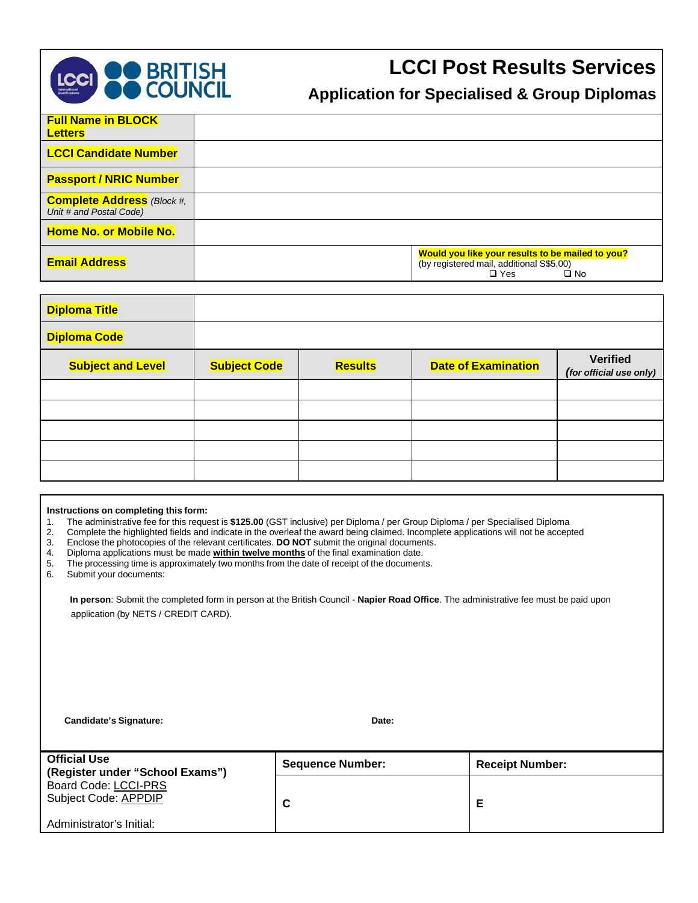

# **LCCI Post Results Services**

# **Application for Specialised & Group Diplomas**

| <b>Full Name in BLOCK</b><br><b>Letters</b>                  |                                                                                                                            |
|--------------------------------------------------------------|----------------------------------------------------------------------------------------------------------------------------|
| <b>LCCI Candidate Number</b>                                 |                                                                                                                            |
| <b>Passport / NRIC Number</b>                                |                                                                                                                            |
| <b>Complete Address</b> (Block #,<br>Unit # and Postal Code) |                                                                                                                            |
| <b>Home No. or Mobile No.</b>                                |                                                                                                                            |
| <b>Email Address</b>                                         | Would you like your results to be mailed to you?<br>(by registered mail, additional S\$5.00)<br>$\Box$ Yes<br>$\square$ No |

| <b>Diploma Title</b>     |                     |                |                            |                                            |
|--------------------------|---------------------|----------------|----------------------------|--------------------------------------------|
| <b>Diploma Code</b>      |                     |                |                            |                                            |
| <b>Subject and Level</b> | <b>Subject Code</b> | <b>Results</b> | <b>Date of Examination</b> | <b>Verified</b><br>(for official use only) |
|                          |                     |                |                            |                                            |
|                          |                     |                |                            |                                            |
|                          |                     |                |                            |                                            |
|                          |                     |                |                            |                                            |
|                          |                     |                |                            |                                            |

#### **Instructions on completing this form:**

- 
- 1. The administrative fee for this request is **\$125.00** (GST inclusive) per Diploma / per Group Diploma / per Specialised Diploma 2. Complete the highlighted fields and indicate in the overleaf the award being claimed. Incomplete applications will not be accepted<br>3. Enclose the photocopies of the relevant certificates. **DO NOT** submit the original do
- 3. Enclose the photocopies of the relevant certificates. **DO NOT** submit the original documents.
- 
- 4. Diploma applications must be made **within twelve months** of the final examination date. The processing time is approximately two months from the date of receipt of the documents.
- 6. Submit your documents:

**In person**: Submit the completed form in person at the British Council - **Napier Road Office**. The administrative fee must be paid upon application (by NETS / CREDIT CARD).

**Candidate's Signature: Date:**

| <b>Official Use</b><br>(Register under "School Exams") | <b>Sequence Number:</b> | <b>Receipt Number:</b> |
|--------------------------------------------------------|-------------------------|------------------------|
| Board Code: LCCI-PRS<br>Subject Code: APPDIP           | С                       | Е                      |
| Administrator's Initial:                               |                         |                        |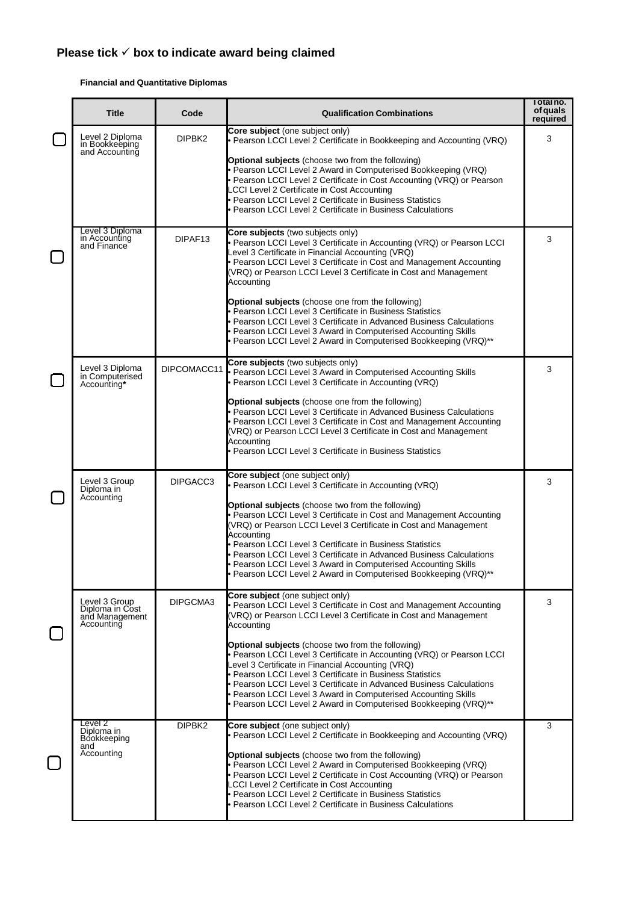#### **Financial and Quantitative Diplomas**

| <b>Title</b>                                                     | Code               | <b>Qualification Combinations</b>                                                                                                                                                                                                                                                                                                                                                                                                                                  | Total no.<br>of quals<br>required |
|------------------------------------------------------------------|--------------------|--------------------------------------------------------------------------------------------------------------------------------------------------------------------------------------------------------------------------------------------------------------------------------------------------------------------------------------------------------------------------------------------------------------------------------------------------------------------|-----------------------------------|
| Level 2 Diploma<br>in Bookkeeping<br>and Accounting              | DIPBK2             | Core subject (one subject only)<br>• Pearson LCCI Level 2 Certificate in Bookkeeping and Accounting (VRQ)<br><b>Optional subjects</b> (choose two from the following)<br>• Pearson LCCI Level 2 Award in Computerised Bookkeeping (VRQ)<br>Pearson LCCI Level 2 Certificate in Cost Accounting (VRQ) or Pearson                                                                                                                                                    | 3                                 |
|                                                                  |                    | CCI Level 2 Certificate in Cost Accounting<br>Pearson LCCI Level 2 Certificate in Business Statistics<br>Pearson LCCI Level 2 Certificate in Business Calculations<br>Core subjects (two subjects only)                                                                                                                                                                                                                                                            |                                   |
| Level 3 Diploma<br>in Accounting<br>and Finance                  | DIPAF13            | • Pearson LCCI Level 3 Certificate in Accounting (VRQ) or Pearson LCCI<br>Level 3 Certificate in Financial Accounting (VRQ)<br>• Pearson LCCI Level 3 Certificate in Cost and Management Accounting<br>(VRQ) or Pearson LCCI Level 3 Certificate in Cost and Management<br>Accounting                                                                                                                                                                              | 3                                 |
|                                                                  |                    | <b>Optional subjects</b> (choose one from the following)<br>· Pearson LCCI Level 3 Certificate in Business Statistics<br>Pearson LCCI Level 3 Certificate in Advanced Business Calculations<br>Pearson LCCI Level 3 Award in Computerised Accounting Skills<br>• Pearson LCCI Level 2 Award in Computerised Bookkeeping (VRQ)**                                                                                                                                    |                                   |
| Level 3 Diploma<br>in Computerised<br>Accounting*                |                    | Core subjects (two subjects only)<br>DIPCOMACC11 Pearson LCCI Level 3 Award in Computerised Accounting Skills<br>• Pearson LCCI Level 3 Certificate in Accounting (VRQ)                                                                                                                                                                                                                                                                                            | 3                                 |
|                                                                  |                    | <b>Optional subjects</b> (choose one from the following)<br>Pearson LCCI Level 3 Certificate in Advanced Business Calculations<br>• Pearson LCCI Level 3 Certificate in Cost and Management Accounting<br>(VRQ) or Pearson LCCI Level 3 Certificate in Cost and Management<br>Accounting<br>· Pearson LCCI Level 3 Certificate in Business Statistics                                                                                                              |                                   |
| Level 3 Group<br>Diploma in<br>Accounting                        | DIPGACC3           | Core subject (one subject only)<br>• Pearson LCCI Level 3 Certificate in Accounting (VRQ)<br><b>Optional subjects</b> (choose two from the following)                                                                                                                                                                                                                                                                                                              | 3                                 |
|                                                                  |                    | • Pearson LCCI Level 3 Certificate in Cost and Management Accounting<br>(VRQ) or Pearson LCCI Level 3 Certificate in Cost and Management<br>Accounting<br>· Pearson LCCI Level 3 Certificate in Business Statistics<br>• Pearson LCCI Level 3 Certificate in Advanced Business Calculations<br>Pearson LCCI Level 3 Award in Computerised Accounting Skills<br>• Pearson LCCI Level 2 Award in Computerised Bookkeeping (VRQ)**                                    |                                   |
| Level 3 Group<br>Diploma in Cost<br>and Management<br>Accounting | DIPGCMA3           | Core subject (one subject only)<br>• Pearson LCCI Level 3 Certificate in Cost and Management Accounting<br>(VRQ) or Pearson LCCI Level 3 Certificate in Cost and Management<br>Accounting                                                                                                                                                                                                                                                                          | 3                                 |
|                                                                  |                    | <b>Optional subjects</b> (choose two from the following)<br>• Pearson LCCI Level 3 Certificate in Accounting (VRQ) or Pearson LCCI<br>Level 3 Certificate in Financial Accounting (VRQ)<br>• Pearson LCCI Level 3 Certificate in Business Statistics<br>• Pearson LCCI Level 3 Certificate in Advanced Business Calculations<br>• Pearson LCCI Level 3 Award in Computerised Accounting Skills<br>• Pearson LCCI Level 2 Award in Computerised Bookkeeping (VRQ)** |                                   |
| Level 2<br>Diploma in<br>Bookkeeping<br>and                      | DIPBK <sub>2</sub> | Core subject (one subject only)<br>• Pearson LCCI Level 2 Certificate in Bookkeeping and Accounting (VRQ)                                                                                                                                                                                                                                                                                                                                                          | 3                                 |
| Accounting                                                       |                    | <b>Optional subjects</b> (choose two from the following)<br>• Pearson LCCI Level 2 Award in Computerised Bookkeeping (VRQ)<br>• Pearson LCCI Level 2 Certificate in Cost Accounting (VRQ) or Pearson<br>CCI Level 2 Certificate in Cost Accounting<br>Pearson LCCI Level 2 Certificate in Business Statistics<br>· Pearson LCCI Level 2 Certificate in Business Calculations                                                                                       |                                   |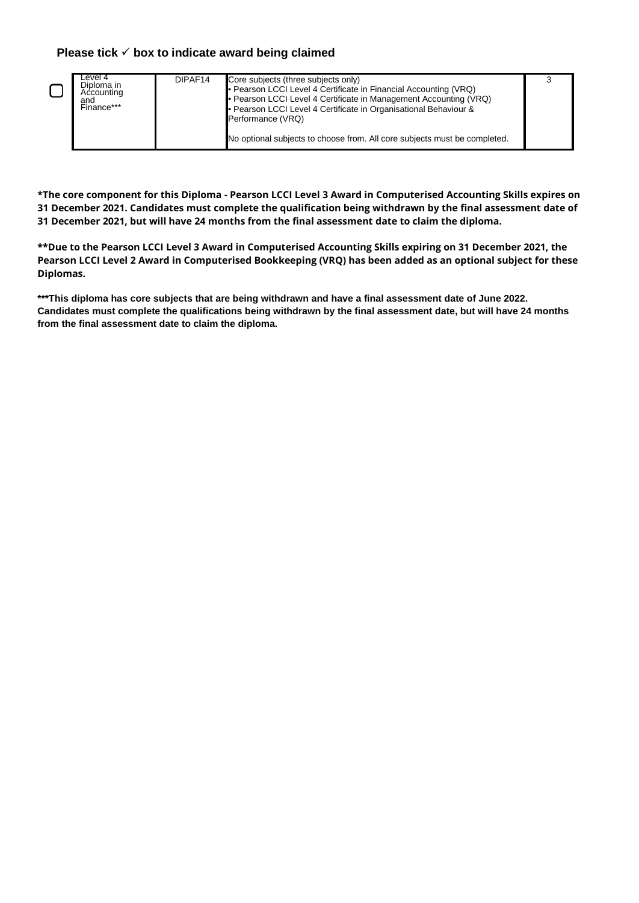| Level 4<br>Diploma in<br>Accounting<br>and<br>Finance*** | DIPAF14 | Core subjects (three subjects only)<br>• Pearson LCCI Level 4 Certificate in Financial Accounting (VRQ)<br>• Pearson LCCI Level 4 Certificate in Management Accounting (VRQ)<br>• Pearson LCCI Level 4 Certificate in Organisational Behaviour &<br>Performance (VRQ) |  |
|----------------------------------------------------------|---------|-----------------------------------------------------------------------------------------------------------------------------------------------------------------------------------------------------------------------------------------------------------------------|--|
|                                                          |         | No optional subjects to choose from. All core subjects must be completed.                                                                                                                                                                                             |  |

**\*The core component for this Diploma - Pearson LCCI Level 3 Award in Computerised Accounting Skills expires on 31 December 2021. Candidates must complete the qualification being withdrawn by the final assessment date of 31 December 2021, but will have 24 months from the final assessment date to claim the diploma.** 

**\*\*Due to the Pearson LCCI Level 3 Award in Computerised Accounting Skills expiring on 31 December 2021, the Pearson LCCI Level 2 Award in Computerised Bookkeeping (VRQ) has been added as an optional subject for these Diplomas.** 

**\*\*\*This diploma has core subjects that are being withdrawn and have a final assessment date of June 2022. Candidates must complete the qualifications being withdrawn by the final assessment date, but will have 24 months from the final assessment date to claim the diploma.**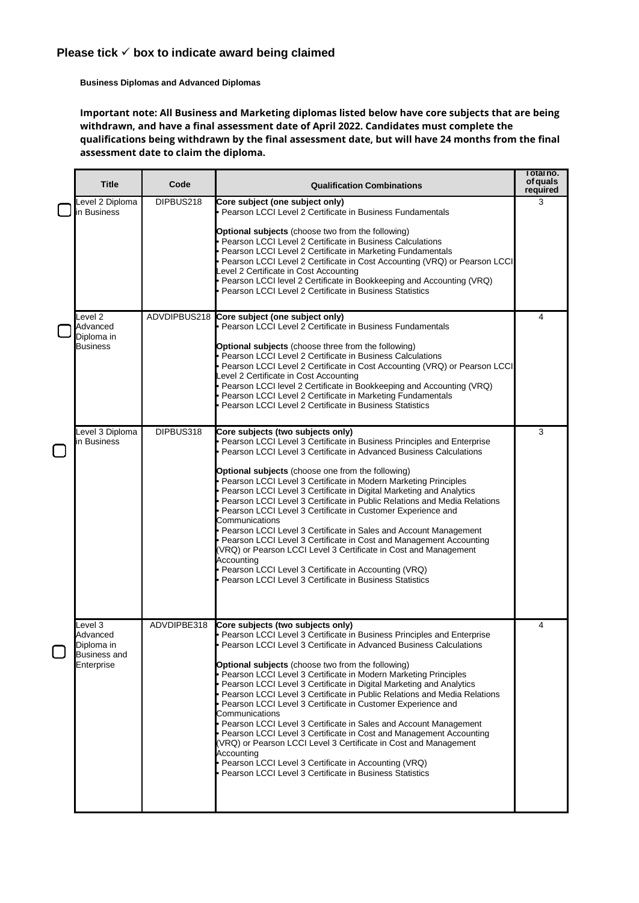**Business Diplomas and Advanced Diplomas**

**Important note: All Business and Marketing diplomas listed below have core subjects that are being withdrawn, and have a final assessment date of April 2022. Candidates must complete the qualifications being withdrawn by the final assessment date, but will have 24 months from the final assessment date to claim the diploma.**

| <b>Title</b>                                             | Code        | <b>Qualification Combinations</b>                                                                                                                                                                                                                                                                                                                                                                                                                                                                                                                                                                                                                                                                                       | Total no.<br>of quals<br>required |
|----------------------------------------------------------|-------------|-------------------------------------------------------------------------------------------------------------------------------------------------------------------------------------------------------------------------------------------------------------------------------------------------------------------------------------------------------------------------------------------------------------------------------------------------------------------------------------------------------------------------------------------------------------------------------------------------------------------------------------------------------------------------------------------------------------------------|-----------------------------------|
| evel 2 Diploma<br>in Business                            | DIPBUS218   | Core subject (one subject only)<br>· Pearson LCCI Level 2 Certificate in Business Fundamentals                                                                                                                                                                                                                                                                                                                                                                                                                                                                                                                                                                                                                          | 3                                 |
|                                                          |             | <b>Optional subjects</b> (choose two from the following)<br>· Pearson LCCI Level 2 Certificate in Business Calculations<br>Pearson LCCI Level 2 Certificate in Marketing Fundamentals<br>• Pearson LCCI Level 2 Certificate in Cost Accounting (VRQ) or Pearson LCCI<br>evel 2 Certificate in Cost Accounting<br>Pearson LCCI level 2 Certificate in Bookkeeping and Accounting (VRQ)<br>Pearson LCCI Level 2 Certificate in Business Statistics                                                                                                                                                                                                                                                                        |                                   |
| evel 2<br>Advanced<br>Diploma in                         |             | ADVDIPBUS218 Core subject (one subject only)<br>Pearson LCCI Level 2 Certificate in Business Fundamentals                                                                                                                                                                                                                                                                                                                                                                                                                                                                                                                                                                                                               | 4                                 |
| <b>Business</b>                                          |             | <b>Optional subjects</b> (choose three from the following)<br>Pearson LCCI Level 2 Certificate in Business Calculations<br>• Pearson LCCI Level 2 Certificate in Cost Accounting (VRQ) or Pearson LCCI<br>Level 2 Certificate in Cost Accounting<br>• Pearson LCCI level 2 Certificate in Bookkeeping and Accounting (VRQ)<br>• Pearson LCCI Level 2 Certificate in Marketing Fundamentals<br>Pearson LCCI Level 2 Certificate in Business Statistics                                                                                                                                                                                                                                                                   |                                   |
| Level 3 Diploma<br>in Business                           | DIPBUS318   | Core subjects (two subjects only)<br>• Pearson LCCI Level 3 Certificate in Business Principles and Enterprise<br><b>Pearson LCCI Level 3 Certificate in Advanced Business Calculations</b>                                                                                                                                                                                                                                                                                                                                                                                                                                                                                                                              | 3                                 |
|                                                          |             | <b>Optional subjects</b> (choose one from the following)<br>Pearson LCCI Level 3 Certificate in Modern Marketing Principles<br>Pearson LCCI Level 3 Certificate in Digital Marketing and Analytics<br>Pearson LCCI Level 3 Certificate in Public Relations and Media Relations<br>Pearson LCCI Level 3 Certificate in Customer Experience and<br>Communications<br>• Pearson LCCI Level 3 Certificate in Sales and Account Management<br>• Pearson LCCI Level 3 Certificate in Cost and Management Accounting<br>(VRQ) or Pearson LCCI Level 3 Certificate in Cost and Management<br>Accounting<br>• Pearson LCCI Level 3 Certificate in Accounting (VRQ)<br>Pearson LCCI Level 3 Certificate in Business Statistics    |                                   |
| Level 3<br>Advanced<br>Diploma in<br><b>Business and</b> | ADVDIPBE318 | Core subjects (two subjects only)<br>• Pearson LCCI Level 3 Certificate in Business Principles and Enterprise<br>Pearson LCCI Level 3 Certificate in Advanced Business Calculations                                                                                                                                                                                                                                                                                                                                                                                                                                                                                                                                     | 4                                 |
| Enterprise                                               |             | Optional subjects (choose two from the following)<br>• Pearson LCCI Level 3 Certificate in Modern Marketing Principles<br>• Pearson LCCI Level 3 Certificate in Digital Marketing and Analytics<br>• Pearson LCCI Level 3 Certificate in Public Relations and Media Relations<br>• Pearson LCCI Level 3 Certificate in Customer Experience and<br>Communications<br>· Pearson LCCI Level 3 Certificate in Sales and Account Management<br>· Pearson LCCI Level 3 Certificate in Cost and Management Accounting<br>(VRQ) or Pearson LCCI Level 3 Certificate in Cost and Management<br>Accounting<br>• Pearson LCCI Level 3 Certificate in Accounting (VRQ)<br>• Pearson LCCI Level 3 Certificate in Business Statistics |                                   |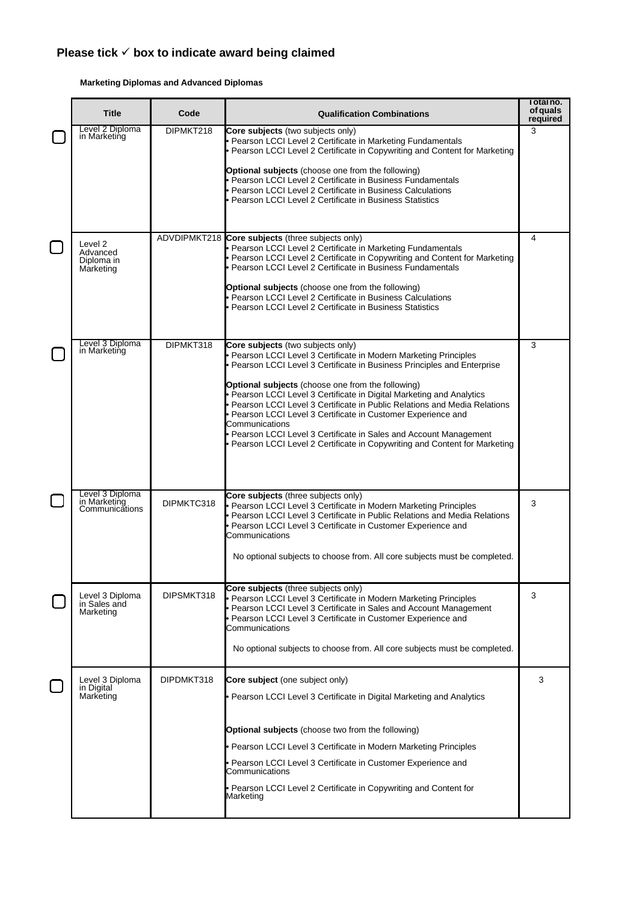#### **Marketing Diplomas and Advanced Diplomas**

| <b>Title</b>                                      | Code       | <b>Qualification Combinations</b>                                                                                                                                                                                                                                                                                                                                                                                                                                                                                                                                                                                                  | Total no.<br>of quals<br>required |
|---------------------------------------------------|------------|------------------------------------------------------------------------------------------------------------------------------------------------------------------------------------------------------------------------------------------------------------------------------------------------------------------------------------------------------------------------------------------------------------------------------------------------------------------------------------------------------------------------------------------------------------------------------------------------------------------------------------|-----------------------------------|
| Level 2 Diploma<br>in Marketing                   | DIPMKT218  | Core subjects (two subjects only)<br>· Pearson LCCI Level 2 Certificate in Marketing Fundamentals<br>• Pearson LCCI Level 2 Certificate in Copywriting and Content for Marketing<br><b>Optional subjects</b> (choose one from the following)<br>· Pearson LCCI Level 2 Certificate in Business Fundamentals<br>Pearson LCCI Level 2 Certificate in Business Calculations<br>Pearson LCCI Level 2 Certificate in Business Statistics                                                                                                                                                                                                | 3                                 |
| Level 2<br>Advanced<br>Diploma in<br>Marketing    |            | ADVDIPMKT218 Core subjects (three subjects only)<br>· Pearson LCCI Level 2 Certificate in Marketing Fundamentals<br>• Pearson LCCI Level 2 Certificate in Copywriting and Content for Marketing<br>• Pearson LCCI Level 2 Certificate in Business Fundamentals<br>Optional subjects (choose one from the following)<br>Pearson LCCI Level 2 Certificate in Business Calculations<br>Pearson LCCI Level 2 Certificate in Business Statistics                                                                                                                                                                                        | 4                                 |
| Level 3 Diploma<br>in Marketing                   | DIPMKT318  | Core subjects (two subjects only)<br>Pearson LCCI Level 3 Certificate in Modern Marketing Principles<br>Pearson LCCI Level 3 Certificate in Business Principles and Enterprise<br>Optional subjects (choose one from the following)<br>· Pearson LCCI Level 3 Certificate in Digital Marketing and Analytics<br>• Pearson LCCI Level 3 Certificate in Public Relations and Media Relations<br>· Pearson LCCI Level 3 Certificate in Customer Experience and<br>Communications<br>• Pearson LCCI Level 3 Certificate in Sales and Account Management<br>• Pearson LCCI Level 2 Certificate in Copywriting and Content for Marketing | 3                                 |
| Level 3 Diploma<br>in Marketing<br>Communications | DIPMKTC318 | Core subjects (three subjects only)<br>• Pearson LCCI Level 3 Certificate in Modern Marketing Principles<br>• Pearson LCCI Level 3 Certificate in Public Relations and Media Relations<br>· Pearson LCCI Level 3 Certificate in Customer Experience and<br>Communications<br>No optional subjects to choose from. All core subjects must be completed.                                                                                                                                                                                                                                                                             | 3                                 |
| Level 3 Diploma<br>in Sales and<br>Marketing      | DIPSMKT318 | Core subjects (three subjects only)<br>· Pearson LCCI Level 3 Certificate in Modern Marketing Principles<br>· Pearson LCCI Level 3 Certificate in Sales and Account Management<br>· Pearson LCCI Level 3 Certificate in Customer Experience and<br>Communications<br>No optional subjects to choose from. All core subjects must be completed.                                                                                                                                                                                                                                                                                     | 3                                 |
| Level 3 Diploma<br>in Digital<br>Marketing        | DIPDMKT318 | Core subject (one subject only)<br>• Pearson LCCI Level 3 Certificate in Digital Marketing and Analytics<br><b>Optional subjects</b> (choose two from the following)<br>· Pearson LCCI Level 3 Certificate in Modern Marketing Principles<br>Pearson LCCI Level 3 Certificate in Customer Experience and<br>Communications<br>• Pearson LCCI Level 2 Certificate in Copywriting and Content for<br>Marketing                                                                                                                                                                                                                       | 3                                 |